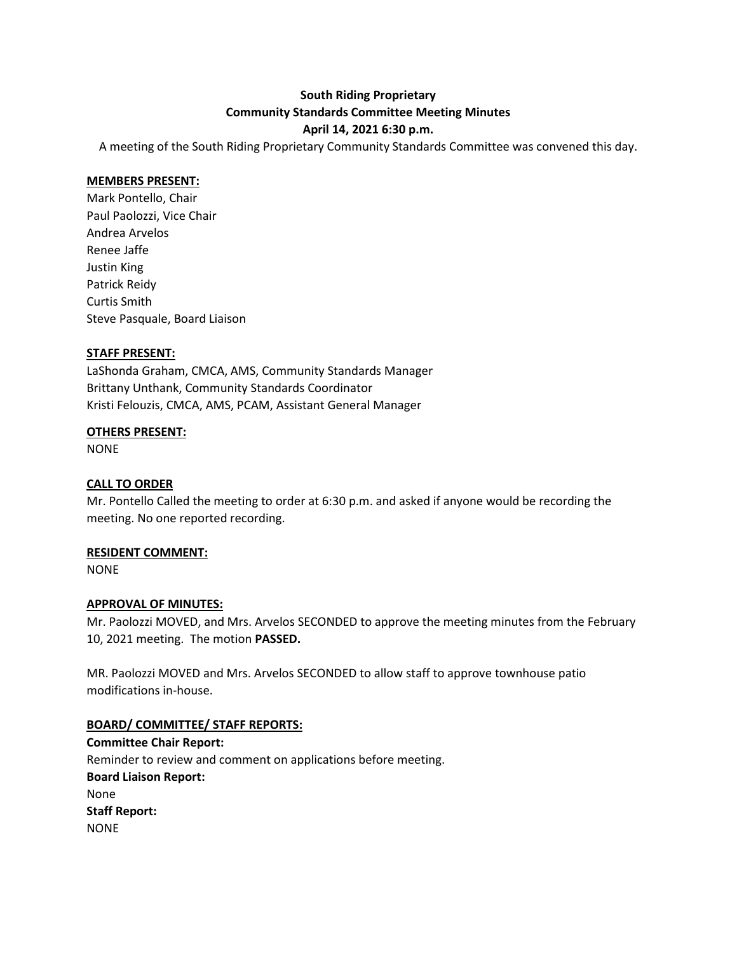# **South Riding Proprietary Community Standards Committee Meeting Minutes April 14, 2021 6:30 p.m.**

A meeting of the South Riding Proprietary Community Standards Committee was convened this day.

#### **MEMBERS PRESENT:**

Mark Pontello, Chair Paul Paolozzi, Vice Chair Andrea Arvelos Renee Jaffe Justin King Patrick Reidy Curtis Smith Steve Pasquale, Board Liaison

#### **STAFF PRESENT:**

LaShonda Graham, CMCA, AMS, Community Standards Manager Brittany Unthank, Community Standards Coordinator Kristi Felouzis, CMCA, AMS, PCAM, Assistant General Manager

#### **OTHERS PRESENT:**

NONE

### **CALL TO ORDER**

Mr. Pontello Called the meeting to order at 6:30 p.m. and asked if anyone would be recording the meeting. No one reported recording.

#### **RESIDENT COMMENT:**

NONE

#### **APPROVAL OF MINUTES:**

Mr. Paolozzi MOVED, and Mrs. Arvelos SECONDED to approve the meeting minutes from the February 10, 2021 meeting. The motion **PASSED.**

MR. Paolozzi MOVED and Mrs. Arvelos SECONDED to allow staff to approve townhouse patio modifications in-house.

## **BOARD/ COMMITTEE/ STAFF REPORTS:**

**Committee Chair Report:** Reminder to review and comment on applications before meeting. **Board Liaison Report:** None **Staff Report:** NONE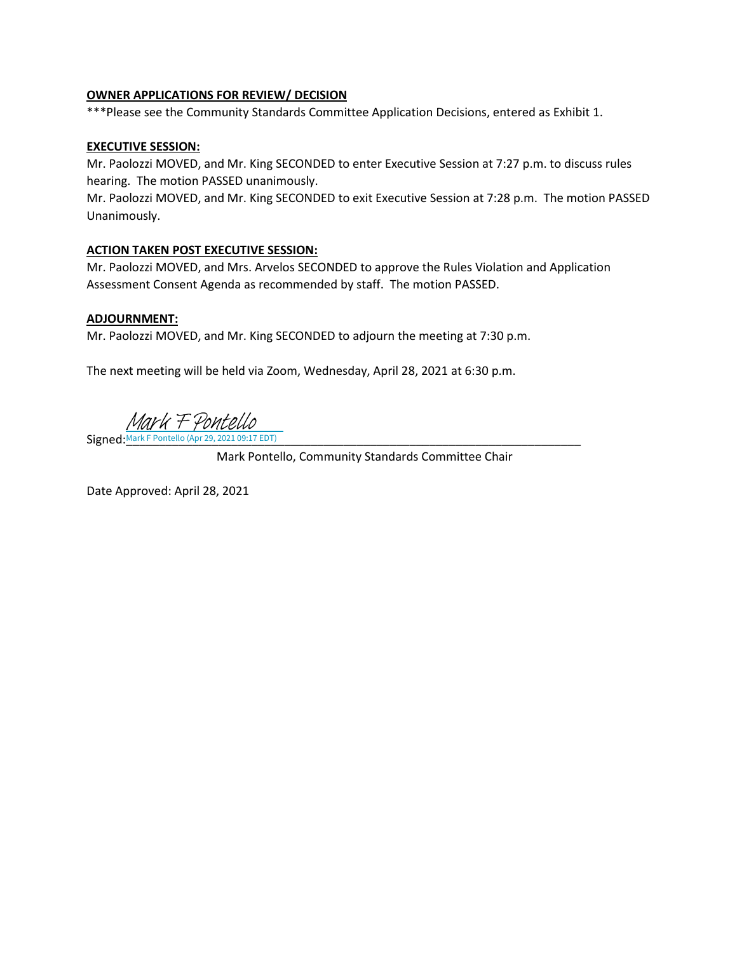#### **OWNER APPLICATIONS FOR REVIEW/ DECISION**

\*\*\*Please see the Community Standards Committee Application Decisions, entered as Exhibit 1.

#### **EXECUTIVE SESSION:**

Mr. Paolozzi MOVED, and Mr. King SECONDED to enter Executive Session at 7:27 p.m. to discuss rules hearing. The motion PASSED unanimously.

Mr. Paolozzi MOVED, and Mr. King SECONDED to exit Executive Session at 7:28 p.m. The motion PASSED Unanimously.

#### **ACTION TAKEN POST EXECUTIVE SESSION:**

Mr. Paolozzi MOVED, and Mrs. Arvelos SECONDED to approve the Rules Violation and Application Assessment Consent Agenda as recommended by staff. The motion PASSED.

#### **ADJOURNMENT:**

Mr. Paolozzi MOVED, and Mr. King SECONDED to adjourn the meeting at 7:30 p.m.

The next meeting will be held via Zoom, Wednesday, April 28, 2021 at 6:30 p.m.

Mark F Pontello

Signed:[\\_\\_\\_\\_\\_\\_\\_\\_\\_\\_\\_\\_\\_\\_\\_\\_\\_\\_\\_\\_\\_\\_\\_\\_\\_\\_\\_\\_\\_\\_\\_\\_\\_\\_\\_\\_\\_\\_\\_\\_\\_\\_\\_\\_\\_\\_\\_\\_\\_\\_\\_\\_\\_\\_\\_\\_\\_\\_\\_\\_\\_\\_\\_\\_\\_\\_\\_\\_\\_](https://na2.documents.adobe.com/verifier?tx=CBJCHBCAABAAlJWU89sxsXpVlOhtfZ9I2G6zA0PSJA-F) Mark F Pontello (Apr 29, 2021 09:17 EDT)

Mark Pontello, Community Standards Committee Chair

Date Approved: April 28, 2021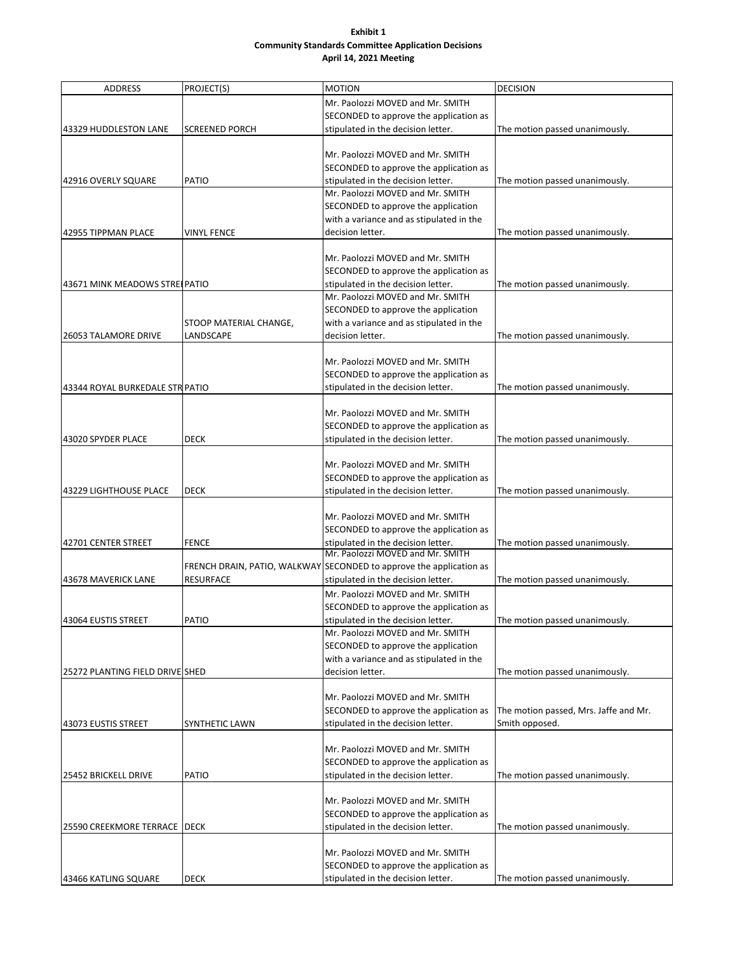#### **Exhibit 1 Community Standards Committee Application Decisions April 14, 2021 Meeting**

| <b>ADDRESS</b>                  | PROJECT(S)             | <b>MOTION</b>                                                       | <b>DECISION</b>                       |
|---------------------------------|------------------------|---------------------------------------------------------------------|---------------------------------------|
|                                 |                        | Mr. Paolozzi MOVED and Mr. SMITH                                    |                                       |
|                                 |                        | SECONDED to approve the application as                              |                                       |
| 43329 HUDDLESTON LANE           | <b>SCREENED PORCH</b>  | stipulated in the decision letter.                                  | The motion passed unanimously.        |
|                                 |                        |                                                                     |                                       |
|                                 |                        | Mr. Paolozzi MOVED and Mr. SMITH                                    |                                       |
|                                 |                        | SECONDED to approve the application as                              |                                       |
| 42916 OVERLY SQUARE             | <b>PATIO</b>           | stipulated in the decision letter.                                  | The motion passed unanimously.        |
|                                 |                        | Mr. Paolozzi MOVED and Mr. SMITH                                    |                                       |
|                                 |                        | SECONDED to approve the application                                 |                                       |
|                                 |                        | with a variance and as stipulated in the                            |                                       |
| 42955 TIPPMAN PLACE             | <b>VINYL FENCE</b>     | decision letter.                                                    | The motion passed unanimously.        |
|                                 |                        |                                                                     |                                       |
|                                 |                        | Mr. Paolozzi MOVED and Mr. SMITH                                    |                                       |
|                                 |                        | SECONDED to approve the application as                              |                                       |
| 43671 MINK MEADOWS STREEPATIO   |                        | stipulated in the decision letter.                                  | The motion passed unanimously.        |
|                                 |                        | Mr. Paolozzi MOVED and Mr. SMITH                                    |                                       |
|                                 |                        | SECONDED to approve the application                                 |                                       |
|                                 | STOOP MATERIAL CHANGE, | with a variance and as stipulated in the                            |                                       |
| <b>26053 TALAMORE DRIVE</b>     | LANDSCAPE              | decision letter.                                                    | The motion passed unanimously.        |
|                                 |                        |                                                                     |                                       |
|                                 |                        | Mr. Paolozzi MOVED and Mr. SMITH                                    |                                       |
|                                 |                        | SECONDED to approve the application as                              |                                       |
| 43344 ROYAL BURKEDALE STR PATIO |                        | stipulated in the decision letter.                                  | The motion passed unanimously.        |
|                                 |                        |                                                                     |                                       |
|                                 |                        | Mr. Paolozzi MOVED and Mr. SMITH                                    |                                       |
|                                 |                        | SECONDED to approve the application as                              |                                       |
| 43020 SPYDER PLACE              | DECK                   | stipulated in the decision letter.                                  | The motion passed unanimously.        |
|                                 |                        |                                                                     |                                       |
|                                 |                        | Mr. Paolozzi MOVED and Mr. SMITH                                    |                                       |
|                                 |                        | SECONDED to approve the application as                              |                                       |
| 43229 LIGHTHOUSE PLACE          | <b>DECK</b>            | stipulated in the decision letter.                                  | The motion passed unanimously.        |
|                                 |                        |                                                                     |                                       |
|                                 |                        | Mr. Paolozzi MOVED and Mr. SMITH                                    |                                       |
|                                 |                        | SECONDED to approve the application as                              |                                       |
| 42701 CENTER STREET             | <b>FENCE</b>           | stipulated in the decision letter.                                  | The motion passed unanimously.        |
|                                 |                        | Mr. Paolozzi MOVED and Mr. SMITH                                    |                                       |
|                                 |                        | FRENCH DRAIN, PATIO, WALKWAY SECONDED to approve the application as |                                       |
| 43678 MAVERICK LANE             | <b>RESURFACE</b>       | stipulated in the decision letter.                                  | The motion passed unanimously.        |
|                                 |                        | Mr. Paolozzi MOVED and Mr. SMITH                                    |                                       |
|                                 |                        | SECONDED to approve the application as                              |                                       |
| 43064 EUSTIS STREET             | <b>PATIO</b>           | stipulated in the decision letter.                                  | The motion passed unanimously.        |
|                                 |                        | Mr. Paolozzi MOVED and Mr. SMITH                                    |                                       |
|                                 |                        | SECONDED to approve the application                                 |                                       |
|                                 |                        | with a variance and as stipulated in the                            |                                       |
| 25272 PLANTING FIELD DRIVE SHED |                        | decision letter.                                                    | The motion passed unanimously.        |
|                                 |                        |                                                                     |                                       |
|                                 |                        | Mr. Paolozzi MOVED and Mr. SMITH                                    |                                       |
|                                 |                        | SECONDED to approve the application as                              | The motion passed, Mrs. Jaffe and Mr. |
| 43073 EUSTIS STREET             | SYNTHETIC LAWN         | stipulated in the decision letter.                                  | Smith opposed.                        |
|                                 |                        |                                                                     |                                       |
|                                 |                        | Mr. Paolozzi MOVED and Mr. SMITH                                    |                                       |
|                                 |                        | SECONDED to approve the application as                              |                                       |
| 25452 BRICKELL DRIVE            | <b>PATIO</b>           | stipulated in the decision letter.                                  | The motion passed unanimously.        |
|                                 |                        |                                                                     |                                       |
|                                 |                        | Mr. Paolozzi MOVED and Mr. SMITH                                    |                                       |
|                                 |                        | SECONDED to approve the application as                              |                                       |
| 25590 CREEKMORE TERRACE   DECK  |                        | stipulated in the decision letter.                                  | The motion passed unanimously.        |
|                                 |                        |                                                                     |                                       |
|                                 |                        | Mr. Paolozzi MOVED and Mr. SMITH                                    |                                       |
|                                 |                        | SECONDED to approve the application as                              |                                       |
| 43466 KATLING SQUARE            | <b>DECK</b>            | stipulated in the decision letter.                                  | The motion passed unanimously.        |
|                                 |                        |                                                                     |                                       |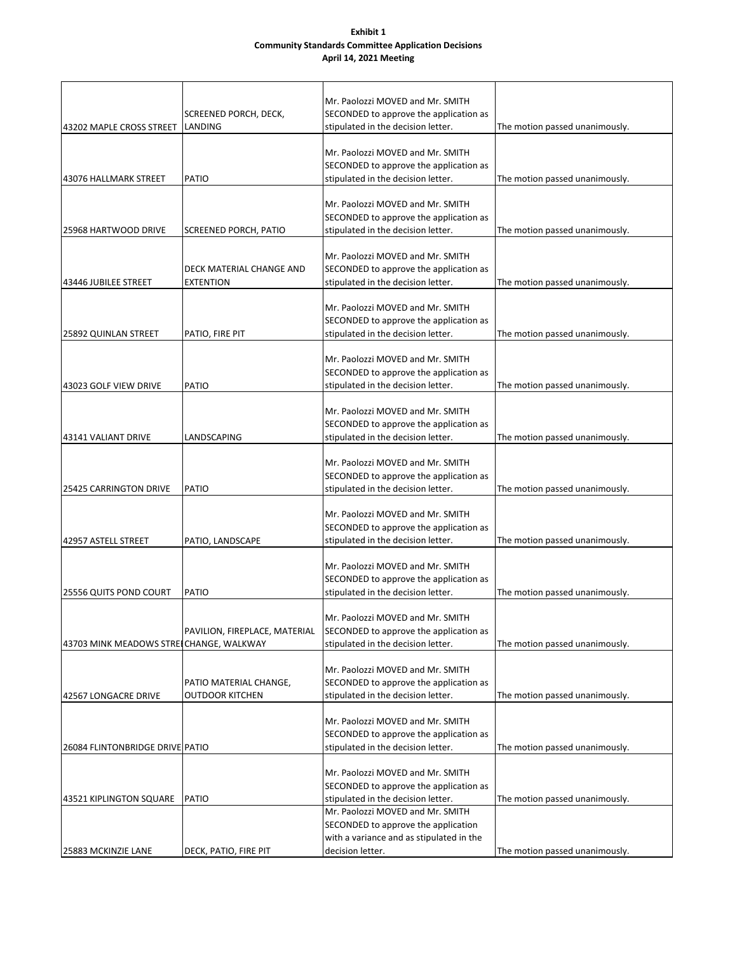#### **Exhibit 1 Community Standards Committee Application Decisions April 14, 2021 Meeting**

|                                         |                               | Mr. Paolozzi MOVED and Mr. SMITH                                             |                                |
|-----------------------------------------|-------------------------------|------------------------------------------------------------------------------|--------------------------------|
|                                         | SCREENED PORCH, DECK,         | SECONDED to approve the application as                                       |                                |
| 43202 MAPLE CROSS STREET                | LANDING                       | stipulated in the decision letter.                                           | The motion passed unanimously. |
|                                         |                               | Mr. Paolozzi MOVED and Mr. SMITH                                             |                                |
|                                         |                               | SECONDED to approve the application as                                       |                                |
| 43076 HALLMARK STREET                   | <b>PATIO</b>                  | stipulated in the decision letter.                                           | The motion passed unanimously. |
|                                         |                               |                                                                              |                                |
|                                         |                               | Mr. Paolozzi MOVED and Mr. SMITH                                             |                                |
|                                         |                               | SECONDED to approve the application as                                       |                                |
| 25968 HARTWOOD DRIVE                    | SCREENED PORCH, PATIO         | stipulated in the decision letter.                                           | The motion passed unanimously. |
|                                         |                               |                                                                              |                                |
|                                         |                               | Mr. Paolozzi MOVED and Mr. SMITH                                             |                                |
|                                         | DECK MATERIAL CHANGE AND      | SECONDED to approve the application as                                       |                                |
| 43446 JUBILEE STREET                    | <b>EXTENTION</b>              | stipulated in the decision letter.                                           | The motion passed unanimously. |
|                                         |                               |                                                                              |                                |
|                                         |                               | Mr. Paolozzi MOVED and Mr. SMITH                                             |                                |
|                                         |                               | SECONDED to approve the application as                                       |                                |
| 25892 QUINLAN STREET                    | PATIO, FIRE PIT               | stipulated in the decision letter.                                           | The motion passed unanimously. |
|                                         |                               |                                                                              |                                |
|                                         |                               | Mr. Paolozzi MOVED and Mr. SMITH                                             |                                |
|                                         |                               | SECONDED to approve the application as                                       |                                |
| 43023 GOLF VIEW DRIVE                   | PATIO                         | stipulated in the decision letter.                                           | The motion passed unanimously. |
|                                         |                               | Mr. Paolozzi MOVED and Mr. SMITH                                             |                                |
|                                         |                               | SECONDED to approve the application as                                       |                                |
| 43141 VALIANT DRIVE                     | LANDSCAPING                   | stipulated in the decision letter.                                           | The motion passed unanimously. |
|                                         |                               |                                                                              |                                |
|                                         |                               | Mr. Paolozzi MOVED and Mr. SMITH                                             |                                |
|                                         |                               | SECONDED to approve the application as                                       |                                |
| <b>25425 CARRINGTON DRIVE</b>           | <b>PATIO</b>                  | stipulated in the decision letter.                                           | The motion passed unanimously. |
|                                         |                               |                                                                              |                                |
|                                         |                               | Mr. Paolozzi MOVED and Mr. SMITH                                             |                                |
|                                         |                               | SECONDED to approve the application as                                       |                                |
| 42957 ASTELL STREET                     | PATIO, LANDSCAPE              | stipulated in the decision letter.                                           | The motion passed unanimously. |
|                                         |                               |                                                                              |                                |
|                                         |                               | Mr. Paolozzi MOVED and Mr. SMITH                                             |                                |
|                                         |                               | SECONDED to approve the application as                                       |                                |
| 25556 QUITS POND COURT                  | <b>PATIO</b>                  | stipulated in the decision letter.                                           | The motion passed unanimously. |
|                                         |                               |                                                                              |                                |
|                                         | PAVILION, FIREPLACE, MATERIAL | Mr. Paolozzi MOVED and Mr. SMITH                                             |                                |
| 43703 MINK MEADOWS STREICHANGE, WALKWAY |                               | SECONDED to approve the application as<br>stipulated in the decision letter. | The motion passed unanimously. |
|                                         |                               |                                                                              |                                |
|                                         |                               | Mr. Paolozzi MOVED and Mr. SMITH                                             |                                |
|                                         | PATIO MATERIAL CHANGE,        | SECONDED to approve the application as                                       |                                |
| 42567 LONGACRE DRIVE                    | <b>OUTDOOR KITCHEN</b>        | stipulated in the decision letter.                                           | The motion passed unanimously. |
|                                         |                               |                                                                              |                                |
|                                         |                               | Mr. Paolozzi MOVED and Mr. SMITH                                             |                                |
|                                         |                               | SECONDED to approve the application as                                       |                                |
| 26084 FLINTONBRIDGE DRIVE PATIO         |                               | stipulated in the decision letter.                                           | The motion passed unanimously. |
|                                         |                               |                                                                              |                                |
|                                         |                               | Mr. Paolozzi MOVED and Mr. SMITH                                             |                                |
|                                         |                               | SECONDED to approve the application as                                       |                                |
| 43521 KIPLINGTON SQUARE                 | <b>PATIO</b>                  | stipulated in the decision letter.                                           | The motion passed unanimously. |
|                                         |                               | Mr. Paolozzi MOVED and Mr. SMITH                                             |                                |
|                                         |                               | SECONDED to approve the application                                          |                                |
|                                         |                               | with a variance and as stipulated in the                                     |                                |
| 25883 MCKINZIE LANE                     | DECK, PATIO, FIRE PIT         | decision letter.                                                             | The motion passed unanimously. |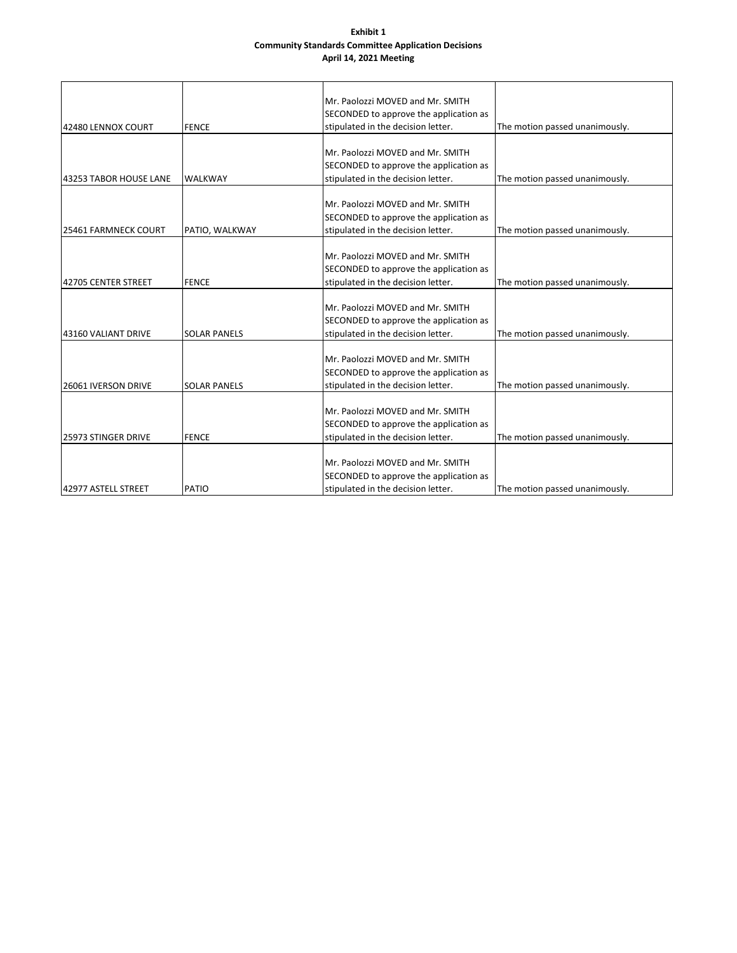#### **Exhibit 1 Community Standards Committee Application Decisions April 14, 2021 Meeting**

|                            |                     | Mr. Paolozzi MOVED and Mr. SMITH       |                                |
|----------------------------|---------------------|----------------------------------------|--------------------------------|
|                            |                     | SECONDED to approve the application as |                                |
| 42480 LENNOX COURT         | <b>FENCE</b>        | stipulated in the decision letter.     | The motion passed unanimously. |
|                            |                     |                                        |                                |
|                            |                     | Mr. Paolozzi MOVED and Mr. SMITH       |                                |
|                            |                     | SECONDED to approve the application as |                                |
| 43253 TABOR HOUSE LANE     | <b>WALKWAY</b>      | stipulated in the decision letter.     | The motion passed unanimously. |
|                            |                     |                                        |                                |
|                            |                     | Mr. Paolozzi MOVED and Mr. SMITH       |                                |
|                            |                     | SECONDED to approve the application as |                                |
| 25461 FARMNECK COURT       | PATIO, WALKWAY      | stipulated in the decision letter.     | The motion passed unanimously. |
|                            |                     |                                        |                                |
|                            |                     | Mr. Paolozzi MOVED and Mr. SMITH       |                                |
|                            |                     | SECONDED to approve the application as |                                |
| 42705 CENTER STREET        | <b>FENCE</b>        | stipulated in the decision letter.     | The motion passed unanimously. |
|                            |                     |                                        |                                |
|                            |                     | Mr. Paolozzi MOVED and Mr. SMITH       |                                |
|                            |                     | SECONDED to approve the application as |                                |
| 43160 VALIANT DRIVE        | <b>SOLAR PANELS</b> | stipulated in the decision letter.     | The motion passed unanimously. |
|                            |                     |                                        |                                |
|                            |                     | Mr. Paolozzi MOVED and Mr. SMITH       |                                |
|                            |                     | SECONDED to approve the application as |                                |
| <b>26061 IVERSON DRIVE</b> | <b>SOLAR PANELS</b> | stipulated in the decision letter.     | The motion passed unanimously. |
|                            |                     |                                        |                                |
|                            |                     | Mr. Paolozzi MOVED and Mr. SMITH       |                                |
|                            |                     | SECONDED to approve the application as |                                |
| 25973 STINGER DRIVE        | <b>FENCE</b>        | stipulated in the decision letter.     | The motion passed unanimously. |
|                            |                     |                                        |                                |
|                            |                     | Mr. Paolozzi MOVED and Mr. SMITH       |                                |
|                            |                     | SECONDED to approve the application as |                                |
| 42977 ASTELL STREET        | PATIO               | stipulated in the decision letter.     | The motion passed unanimously. |